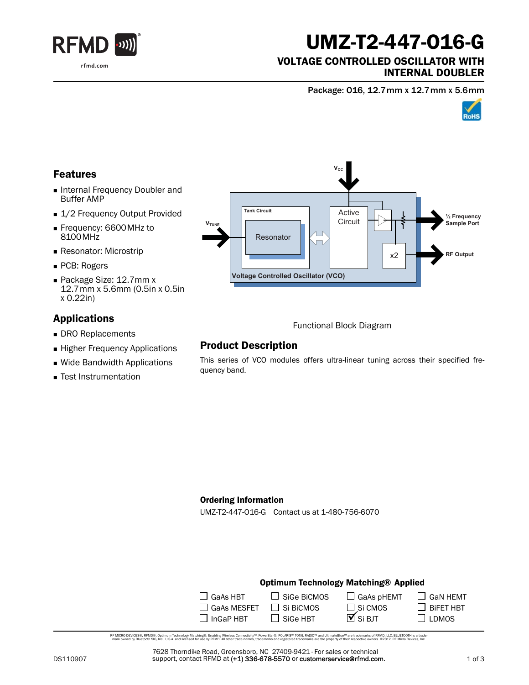

# UMZ-T2-447-O16-G

### VOLTAGE CONTROLLED OSCILLATOR WITH INTERNAL DOUBLER

Package: O16, 12.7mm x 12.7mm x 5.6mm



## Features

- **Internal Frequency Doubler and** Buffer AMP
- 1/2 Frequency Output Provided
- Frequency: 6600 MHz to 8100MHz
- **Resonator: Microstrip**
- PCB: Rogers
- Package Size: 12.7mm x 12.7mm x 5.6mm (0.5in x 0.5in x 0.22in)

# Applications

- DRO Replacements
- **Higher Frequency Applications**
- Wide Bandwidth Applications
- Test Instrumentation



Functional Block Diagram

# Product Description

This series of VCO modules offers ultra-linear tuning across their specified frequency band.

#### Ordering Information

UMZ-T2-447-O16-G Contact us at 1-480-756-6070

#### Optimum Technology Matching® Applied

| $\Box$ GaAs HBT    | $\Box$ Sige BiCMOS | $\Box$ GaAs pHEMT     |
|--------------------|--------------------|-----------------------|
| $\Box$ GaAs MESFET | $\Box$ Si BiCMOS   | $\Box$ Si CMOS        |
| $\Box$ InGaP HBT   | $\Box$ SiGe HBT    | $\overline{M}$ Si BJT |

RF MCRO DEVCES®, RFMD®, Optimum Technology Matching®, Erabling Wireless Connectivity™, PowerStar®, POLARIS™ TOTAL RADIO™ and UltimateBlue™ are trademarks of RFMD, LLC. BLUETOOTH is a trade<br>… mark owned by Bluetooth SIG, i

7628 Thorndike Road, Greensboro, NC 27409-9421 · For sales or technical support, contact RFMD at (+1) 336-678-5570 or customerservice@rfmd.com.  $\Box$  GaN HEMT

 $\Box$  BiFET HBT  $\square$  LDMOS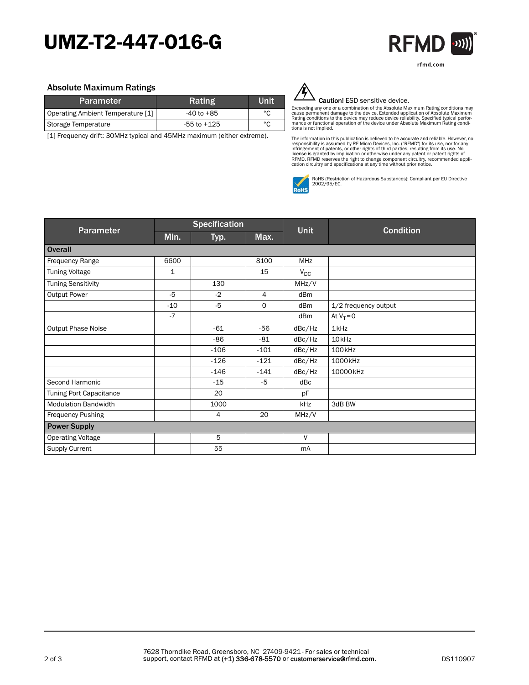# UMZ-T2-447-O16-G



#### Absolute Maximum Ratings

| <b>Parameter</b>                  | Rating          | Unit |
|-----------------------------------|-----------------|------|
| Operating Ambient Temperature [1] | $-40$ to $+85$  | ∘∩   |
| Storage Temperature               | $-55$ to $+125$ | ∘∩   |

[1] Frequency drift: 30MHz typical and 45MHz maximum (either extreme).



#### Caution! ESD sensitive device.

Exceeding any one or a combination of the Absolute Maximum Rating conditions may<br>cause permanent damage to the device. Extended application of Absolute Maximum<br>Rating conditions to the device may reduce device reliability. tions is not implied.

The information in this publication is believed to be accurate and reliable. However, no<br>responsibility is assumed by RF Micro Devices, Inc. ("RFMD") for its use, nor for any<br>infringement of patents, or other rights of thi



RoHS (Restriction of Hazardous Substances): Compliant per EU Directive 2002/95/EC.

| <b>Parameter</b>            | <b>Specification</b> |        | <b>Unit</b> |                 |                      |
|-----------------------------|----------------------|--------|-------------|-----------------|----------------------|
|                             | Min.                 | Typ.   | Max.        |                 | <b>Condition</b>     |
| <b>Overall</b>              |                      |        |             |                 |                      |
| Frequency Range             | 6600                 |        | 8100        | MHz             |                      |
| <b>Tuning Voltage</b>       | 1                    |        | 15          | $V_{DC}$        |                      |
| <b>Tuning Sensitivity</b>   |                      | 130    |             | MHz/V           |                      |
| <b>Output Power</b>         | $-5$                 | $-2$   | 4           | dBm             |                      |
|                             | $-10$                | $-5$   | 0           | dB <sub>m</sub> | 1/2 frequency output |
|                             | $-7$                 |        |             | dBm             | At $V_T = 0$         |
| <b>Output Phase Noise</b>   |                      | $-61$  | $-56$       | dBc/Hz          | 1kHz                 |
|                             |                      | -86    | $-81$       | dBc/Hz          | 10 <sub>kHz</sub>    |
|                             |                      | $-106$ | $-101$      | dBc/Hz          | 100 <sub>kHz</sub>   |
|                             |                      | $-126$ | $-121$      | dBc/Hz          | 1000 <sub>kHz</sub>  |
|                             |                      | $-146$ | $-141$      | dBc/Hz          | 10000kHz             |
| Second Harmonic             |                      | $-15$  | $-5$        | dBc             |                      |
| Tuning Port Capacitance     |                      | 20     |             | pF              |                      |
| <b>Modulation Bandwidth</b> |                      | 1000   |             | kHz             | 3dB BW               |
| Frequency Pushing           |                      | 4      | 20          | MHz/V           |                      |
| <b>Power Supply</b>         |                      |        |             |                 |                      |
| <b>Operating Voltage</b>    |                      | 5      |             | V               |                      |
| Supply Current              |                      | 55     |             | mA              |                      |